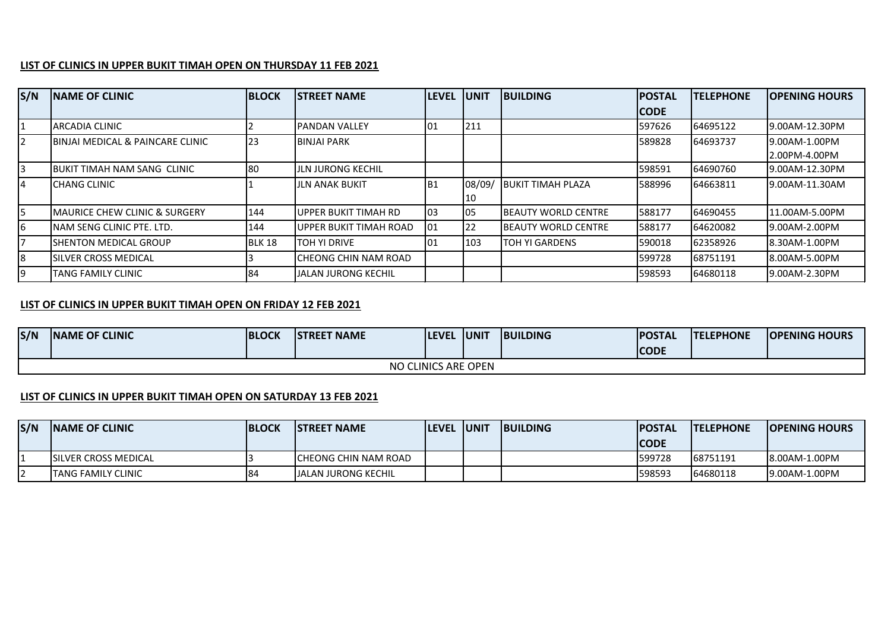## **LIST OF CLINICS IN UPPER BUKIT TIMAH OPEN ON THURSDAY 11 FEB 2021**

| S/N | <b>INAME OF CLINIC</b>                      | <b>BLOCK</b> | <b>ISTREET NAME</b>    | <b>LEVEL</b>    | <b>IUNIT</b> | <b>BUILDING</b>             | <b>IPOSTAL</b> | <b>TELEPHONE</b> | <b>OPENING HOURS</b> |
|-----|---------------------------------------------|--------------|------------------------|-----------------|--------------|-----------------------------|----------------|------------------|----------------------|
|     |                                             |              |                        |                 |              |                             | <b>CODE</b>    |                  |                      |
|     | IARCADIA CLINIC                             |              | <b>PANDAN VALLEY</b>   | 101             | 211          |                             | 597626         | 64695122         | 19.00AM-12.30PM      |
|     | <b>BINJAI MEDICAL &amp; PAINCARE CLINIC</b> | <b>23</b>    | <b>BINJAI PARK</b>     |                 |              |                             | 589828         | 64693737         | 19.00AM-1.00PM       |
|     |                                             |              |                        |                 |              |                             |                |                  | 2.00PM-4.00PM        |
| 3   | BUKIT TIMAH NAM SANG CLINIC                 | 80           | IJLN JURONG KECHIL     |                 |              |                             | 598591         | 64690760         | 19.00AM-12.30PM      |
|     | <b>I</b> CHANG CLINIC                       |              | <b>JLN ANAK BUKIT</b>  | IB <sub>1</sub> | 08/09/       | <b>IBUKIT TIMAH PLAZA</b>   | 588996         | 64663811         | 19.00AM-11.30AM      |
|     |                                             |              |                        |                 | 10           |                             |                |                  |                      |
| 5   | <b>IMAURICE CHEW CLINIC &amp; SURGERY</b>   | 144          | UPPER BUKIT TIMAH RD   | 103             | 05           | <b>IBEAUTY WORLD CENTRE</b> | 588177         | 64690455         | 11.00AM-5.00PM       |
| 6   | <b>INAM SENG CLINIC PTE. LTD.</b>           | 144          | UPPER BUKIT TIMAH ROAD | 101             | 22           | <b>IBEAUTY WORLD CENTRE</b> | 588177         | 64620082         | 19.00AM-2.00PM       |
|     | <b>ISHENTON MEDICAL GROUP</b>               | BLK 18       | <b>TOH YI DRIVE</b>    | 101             | 103          | ITOH YI GARDENS             | 590018         | 62358926         | 8.30AM-1.00PM        |
| 8   | <b>ISILVER CROSS MEDICAL</b>                |              | ICHEONG CHIN NAM ROAD  |                 |              |                             | 599728         | 68751191         | 8.00AM-5.00PM        |
|     | <b>TANG FAMILY CLINIC</b>                   | 84           | JALAN JURONG KECHIL    |                 |              |                             | 598593         | 64680118         | 19.00AM-2.30PM       |

## **LIST OF CLINICS IN UPPER BUKIT TIMAH OPEN ON FRIDAY 12 FEB 2021**

| S/N                 | <b>INAME OF CLINIC</b> | <b>BLOCK</b> | <b>STREET NAME</b> | <b>ILEVEL</b> | <b>IUNIT</b> | <b>BUILDING</b> | <b>POSTAL</b> | <b>TELEPHONE</b> | <b>OPENING HOURS</b> |  |
|---------------------|------------------------|--------------|--------------------|---------------|--------------|-----------------|---------------|------------------|----------------------|--|
|                     |                        |              |                    |               |              |                 | <b>CODE</b>   |                  |                      |  |
| NO CLINICS ARE OPEN |                        |              |                    |               |              |                 |               |                  |                      |  |

## **LIST OF CLINICS IN UPPER BUKIT TIMAH OPEN ON SATURDAY 13 FEB 2021**

| S/N | <b>INAME OF CLINIC</b>       | <b>IBLOCK</b> | <b>ISTREET NAME</b>         | <b>ILEVEL IUNIT</b> | <b>IBUILDING</b> | <b>IPOSTAL</b> | <b>ITELEPHONE</b> | <b>IOPENING HOURS</b> |
|-----|------------------------------|---------------|-----------------------------|---------------------|------------------|----------------|-------------------|-----------------------|
|     |                              |               |                             |                     |                  | <b>CODE</b>    |                   |                       |
|     | <b>ISILVER CROSS MEDICAL</b> |               | ICHEONG CHIN NAM ROAD       |                     |                  | 1599728        | 68751191          | 8.00AM-1.00PM         |
|     | <b>ITANG FAMILY CLINIC</b>   | 84            | <b>JJALAN JURONG KECHIL</b> |                     |                  | 1598593        | 64680118          | 9.00AM-1.00PM         |